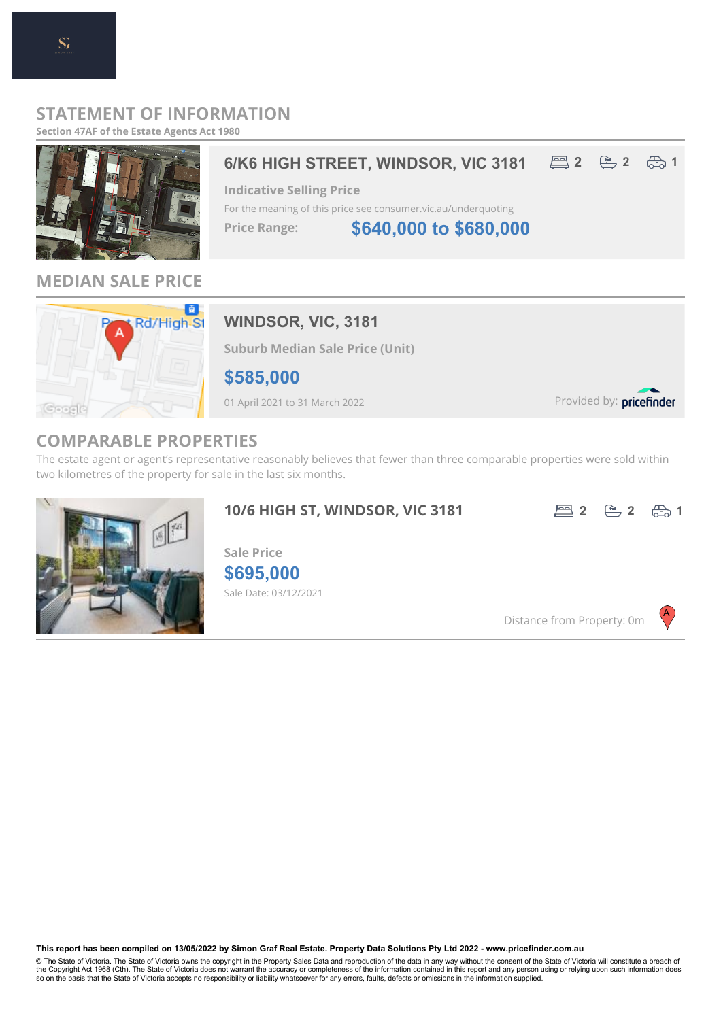### **STATEMENT OF INFORMATION**

**Section 47AF of the Estate Agents Act 1980**



**MEDIAN SALE PRICE**



## **WINDSOR, VIC, 3181**

**Suburb Median Sale Price (Unit)**

**\$585,000**

01 April 2021 to 31 March 2022

Provided by: pricefinder

## **COMPARABLE PROPERTIES**

The estate agent or agent's representative reasonably believes that fewer than three comparable properties were sold within two kilometres of the property for sale in the last six months.

**10/6 HIGH ST, WINDSOR, VIC 3181**





Sale Date: 03/12/2021 **\$695,000 Sale Price**

Distance from Property: 0m



**This report has been compiled on 13/05/2022 by Simon Graf Real Estate. Property Data Solutions Pty Ltd 2022 - www.pricefinder.com.au**

© The State of Victoria. The State of Victoria owns the copyright in the Property Sales Data and reproduction of the data in any way without the consent of the State of Victoria will constitute a breach of<br>the Copyright Ac so on the basis that the State of Victoria accepts no responsibility or liability whatsoever for any errors, faults, defects or omissions in the information supplied.